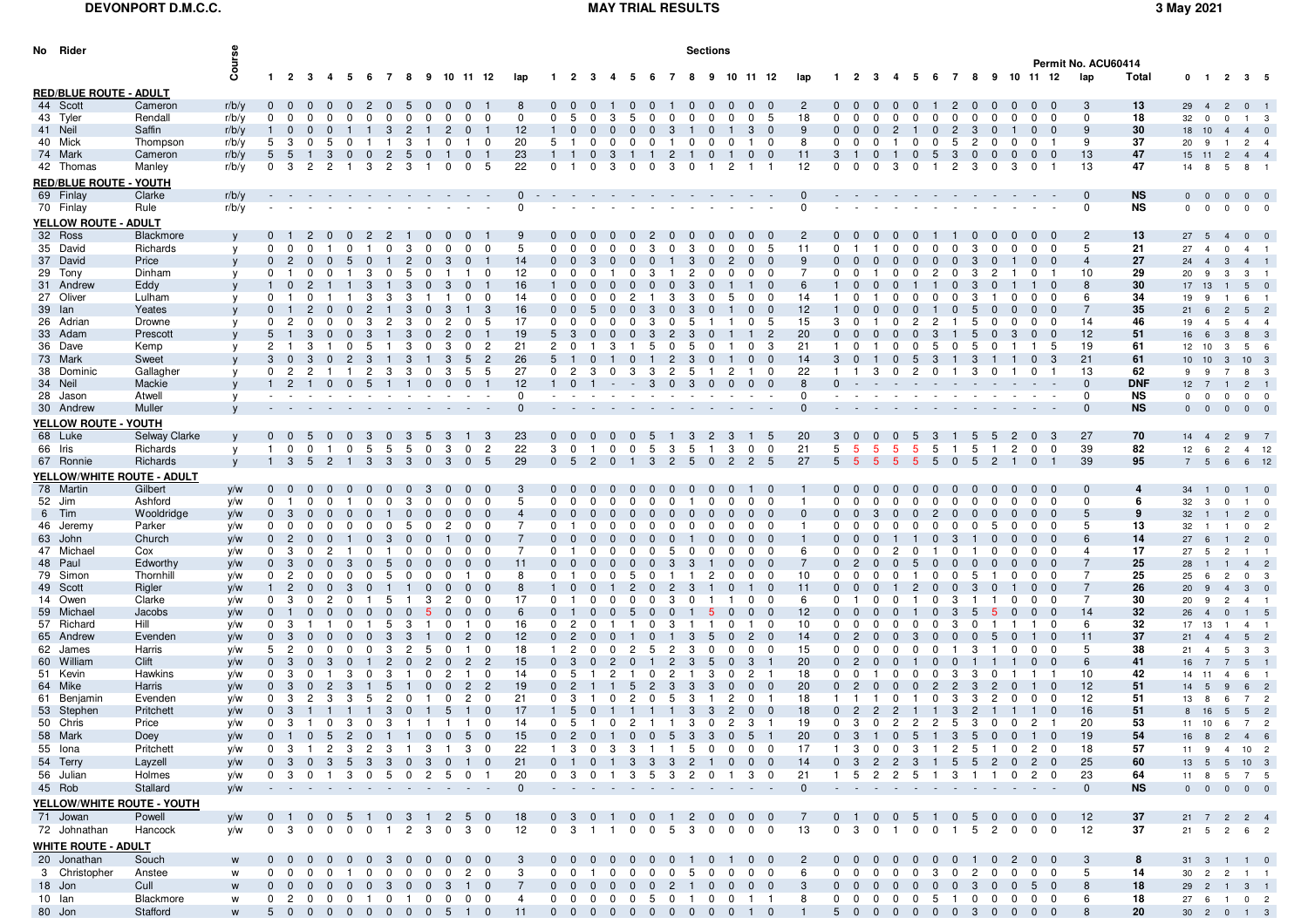## **DEVONPORT D.M.C.C.**

## **MAY TRIAL RESULTS 3 May 2021**

| No Rider                      |                      | Sections       |                           |                   |                      |                                  |                  |                        |                 |                |              |                              |                            |                            |                                                           |                                  |                     |              |                |                              |                |                        |                            |                       |                                        |                |                                  |                      |                         |                              |                |                                  |                     |            |                                         |                                     |                            |                |
|-------------------------------|----------------------|----------------|---------------------------|-------------------|----------------------|----------------------------------|------------------|------------------------|-----------------|----------------|--------------|------------------------------|----------------------------|----------------------------|-----------------------------------------------------------|----------------------------------|---------------------|--------------|----------------|------------------------------|----------------|------------------------|----------------------------|-----------------------|----------------------------------------|----------------|----------------------------------|----------------------|-------------------------|------------------------------|----------------|----------------------------------|---------------------|------------|-----------------------------------------|-------------------------------------|----------------------------|----------------|
|                               |                      | Cours          |                           |                   |                      |                                  |                  |                        |                 |                |              |                              |                            |                            |                                                           |                                  |                     |              |                |                              |                |                        |                            |                       |                                        |                |                                  |                      |                         |                              |                |                                  | Permit No. ACU60414 |            |                                         |                                     |                            |                |
|                               |                      |                |                           |                   |                      | 1 2 3 4 5 6 7 8                  |                  |                        |                 |                |              | 9 10 11 12                   | lap                        |                            | -2                                                        |                                  |                     |              |                |                              | 10             | 11 12                  |                            | lan                   |                                        | - 3            | - 5                              | 67                   |                         | 8                            |                | 9 10 11 12                       | lap                 | Total      |                                         | $0 \t1 \t2 \t3 \t5$                 |                            |                |
| <b>RED/BLUE ROUTE - ADULT</b> |                      |                |                           |                   |                      |                                  |                  |                        |                 |                |              |                              |                            |                            |                                                           |                                  |                     |              |                |                              |                |                        |                            |                       |                                        |                |                                  |                      |                         |                              |                |                                  |                     |            |                                         |                                     |                            |                |
| 44 Scott<br>43 Tyler          | Cameron<br>Rendall   | r/b/y          | $0\quad 0$<br>$\mathbf 0$ | $\mathbf 0$       | $\Omega$<br>$\Omega$ | 0<br>$\Omega$                    | $^{\circ}$       | $\Omega$<br>$^{\circ}$ | 5<br>$^{\circ}$ | $\Omega$       | $\Omega$     | $\mathbf 0$<br>$\Omega$      | 8<br>0                     | $\mathbf 0$                | -5                                                        | $\Omega$<br>3                    | 5                   | $\Omega$     | $\Omega$       | 0<br>n                       |                | $\mathbf 0$            | 5                          | 2<br>18<br>$\Omega$   | റ                                      | <sup>0</sup>   | $\Omega$<br>n                    | $\Omega$             | 2<br>$\mathbf 0$        | $\Omega$<br>0                | n              | $\Omega$<br>$\Omega$             | -3<br>$\mathbf 0$   | 13<br>18   | 29 4<br>32                              | $\overline{c}$<br>$^{\circ}$        | $0 \quad 1$                |                |
| 41 Neil                       | Saffin               | r/b/y<br>r/b/y |                           | 0                 | $\Omega$             |                                  |                  | 3                      | 2               |                |              | $\Omega$                     | 12                         |                            |                                                           | $\mathbf{0}$<br>0                | $\Omega$            |              |                |                              |                | 3                      |                            | -9                    |                                        | $\Omega$       | 2                                |                      | 2                       | 3                            |                |                                  | 9                   | 30         | $\overline{\mathbf{0}}$<br>18 10        | $\overline{4}$                      | 1 3<br>4 0                 |                |
| 40 Mick                       | Thompson             | r/b/y          | 5                         | -3                | $\Omega$             | 5<br>0                           | -1               | -1                     | 3               |                | $\Omega$     | $\mathbf 0$                  | 20                         | 5                          |                                                           | $\mathbf 0$<br>$\Omega$          | $\Omega$            | $\Omega$     |                | 0<br>0                       |                |                        | 0                          | 8<br>0                | $\Omega$                               | 0              | $\Omega$                         | $\mathbf 0$          | 5                       | 2<br>$\Omega$                | $\Omega$       | 0                                | 9                   | 37         | 20 9                                    |                                     | $2^{\frac{1}{2}}$          |                |
| 74 Mark                       | Cameron              | r/b/y          | 5                         | -5                |                      | 3<br>$\Omega$                    | 0                | $\overline{c}$         | 5               | $\Omega$       |              |                              | 23                         |                            |                                                           | $\Omega$<br>3                    |                     |              | 2              |                              |                | $\Omega$               |                            | 11<br>3               |                                        |                | $\Omega$                         | 5                    | -3                      | 0<br>0                       |                | $\Omega$<br>-0                   | 13                  | 47         | 15 11                                   | $\overline{c}$                      | 4 4                        |                |
| 42 Thomas                     | Manley               | r/b/y          | $^{\circ}$                | 3                 | $\mathbf{2}$         | $\mathbf{2}$                     | 3                | 2                      | 3               |                |              | 5<br>$\Omega$                | 22                         | $\Omega$                   |                                                           | $\Omega$<br>3                    |                     |              | з              |                              |                |                        |                            | 12<br>$\Omega$        |                                        | <sup>0</sup>   | 3<br><sup>0</sup>                |                      |                         | 3<br>$\Omega$                |                | $\Omega$                         | 13                  | 47         | 14 8                                    | 5                                   | 8                          |                |
| <b>RED/BLUE ROUTE - YOUTH</b> |                      |                |                           |                   |                      |                                  |                  |                        |                 |                |              |                              |                            |                            |                                                           |                                  |                     |              |                |                              |                |                        |                            |                       |                                        |                |                                  |                      |                         |                              |                |                                  |                     |            |                                         |                                     |                            |                |
| 69 Finlay                     | Clarke               | r/b/v          |                           |                   |                      |                                  |                  |                        |                 |                |              |                              |                            |                            |                                                           |                                  |                     |              |                |                              |                |                        |                            |                       |                                        |                |                                  |                      |                         |                              |                |                                  | $\Omega$            | <b>NS</b>  | $\mathbf{0}$<br>$\overline{\mathbf{0}}$ | $\mathbf{0}$                        | $0\quad 0$                 |                |
| 70 Finlay                     | Rule                 | r/b/v          |                           |                   |                      |                                  |                  |                        |                 |                |              |                              |                            |                            |                                                           |                                  |                     |              |                |                              |                |                        |                            | $\Omega$              |                                        |                |                                  |                      |                         |                              |                |                                  | $\mathbf{0}$        | NS         | $\mathbf{0}$<br>$\overline{\mathbf{0}}$ | $\mathbf 0$                         | $0\quad 0$                 |                |
| YELLOW ROUTE - ADULT          |                      |                |                           |                   |                      |                                  |                  |                        |                 |                |              |                              |                            |                            |                                                           |                                  |                     |              |                |                              |                |                        |                            |                       |                                        |                |                                  |                      |                         |                              |                |                                  |                     |            |                                         |                                     |                            |                |
| 32 Ross                       | Blackmore            |                |                           |                   | 2                    |                                  | 2                | 2                      |                 | $\Omega$       |              |                              |                            |                            |                                                           |                                  |                     |              |                |                              |                |                        |                            | -2                    |                                        |                |                                  |                      |                         | 0<br>0                       |                |                                  | $\overline{c}$      | 13         | $27 \quad 5$                            | $\overline{4}$                      | $0\quad 0$                 |                |
| 35 David                      | Richards             | v              | $^{\rm o}$                | $\mathbf 0$       | 0                    | $\Omega$                         | -1               | $\Omega$               | 3               | $^{\circ}$     | $\Omega$     | $\Omega$<br>$\Omega$         | 5                          | $\mathbf 0$                | $\Omega$                                                  | $\Omega$<br>n                    | $\Omega$            | 3            | $\Omega$       | 3<br>$\Omega$                |                | $\mathbf 0$            | 5                          | 11<br>- 0             |                                        |                | n<br>0                           | <sup>0</sup>         | $\mathbf 0$             | 3<br>$\Omega$                | n              | $\Omega$<br>$\Omega$             | 5                   | 21         | 27<br>$\overline{4}$                    | $\mathbf 0$                         | 4 1                        |                |
| 37 David                      | Price                |                |                           |                   | $\Omega$             |                                  |                  |                        | 2               |                |              |                              | 14                         | $\mathbf{0}$               |                                                           | 3                                |                     |              |                |                              |                | $\Omega$               |                            | 9                     |                                        |                |                                  |                      |                         |                              |                |                                  | $\overline{4}$      | 27         | 24<br>$\overline{4}$                    | 3                                   | 4                          |                |
| 29 Tony                       | Dinham               |                | $^{\rm o}$                |                   | $\Omega$             |                                  | 3                | 0                      | 5               | 0              |              | 0                            | 12                         | $^{\circ}$                 |                                                           | 0                                |                     | 3            |                | 2<br>$\Omega$                |                | $\mathbf 0$            | 0                          | $\overline{7}$<br>- 0 |                                        |                | o                                | $\overline{2}$       | - 0                     | 2<br>3                       |                | $\Omega$                         | 10                  | 29         | 20 9                                    | 3                                   | $3 \quad 1$                |                |
| 31 Andrew                     | Eddy                 |                |                           |                   |                      |                                  | 3                |                        | з               |                |              |                              | 16                         |                            |                                                           |                                  |                     |              |                | 3                            |                |                        |                            | 6                     |                                        |                |                                  |                      |                         | 3                            |                |                                  | 8                   | 30         | 17 13                                   | $\overline{1}$                      | $5\qquad$                  |                |
| 27 Oliver                     | Lulham               |                | $^{\rm o}$                |                   |                      |                                  | 3                | 3                      | з               |                |              | <sup>0</sup><br>- 0          | 14                         | $\mathbf 0$                |                                                           | n                                |                     |              |                | з                            |                | <sup>0</sup>           | n                          | 14                    |                                        |                |                                  |                      |                         | з                            |                | <sup>0</sup><br>0                | 6                   | 34         | 19<br>9                                 |                                     | 6 1                        |                |
| 39 Ian<br>26 Adrian           | Yeates<br>Drowne     |                | $\mathbf 0$               |                   |                      |                                  | 3                | 2                      | 3<br>3          | $\Omega$       |              | 3<br>5<br>$\Omega$           | 16<br>17                   | $\Omega$                   |                                                           |                                  |                     |              |                |                              |                |                        | 5                          | 12<br>15<br>3         |                                        |                |                                  |                      |                         | 5                            |                |                                  | 14                  | 35<br>46   | 21<br>6<br>19                           | $\overline{c}$<br>5                 | 5<br>4 4                   |                |
| 33 Adam                       | Prescott             |                | 5                         |                   |                      |                                  |                  |                        | з               |                |              |                              | 19                         | 5                          |                                                           |                                  |                     |              |                |                              |                |                        |                            | 20<br>$\Omega$        |                                        |                |                                  |                      |                         |                              |                |                                  | 12                  | 51         | $\overline{4}$<br>16 6                  | $\mathbf{3}$                        | 8 3                        |                |
| 36 Dave                       | Kemp                 |                | $\overline{2}$            |                   | 3                    | 0                                | 5                | -1                     | 3               | 0              | з            | $\overline{2}$<br>$\Omega$   | 21                         | $\overline{2}$             |                                                           | З                                |                     | 5            | 0              | 5                            |                | 0                      | 3                          | 21                    | $\Omega$                               |                | 0                                | 5                    | 0                       | 5<br>0                       |                | 5                                | 19                  | 61         | 12 10                                   | 3                                   | 5 6                        |                |
| 73 Mark                       | Sweet                |                |                           | 0                 |                      |                                  | 3                |                        | з               |                |              | $\overline{2}$               | 26                         |                            |                                                           |                                  |                     |              | 2              | 3                            |                |                        |                            | 14<br>3               |                                        |                |                                  | 3                    |                         | 3                            |                | 3                                | 21                  | 61         | 10 10                                   | $\mathbf{3}$                        | 10 <sup>3</sup>            |                |
| 38 Dominic                    | Gallagher            |                | 0                         | -2                | 2                    |                                  |                  | 2<br>3                 | 3               |                |              | 5<br>-5                      | 27                         | $^{\circ}$                 | 2                                                         | 3                                |                     | -3           | 2              | 5                            |                |                        | 0                          | 22                    |                                        |                |                                  |                      |                         | 3                            |                |                                  | 13                  | 62         | 9<br>9                                  | 7                                   | 8 3                        |                |
| 34 Neil                       | Mackie               |                |                           |                   |                      | $\mathbf{0}$<br>- 0              | -5               |                        |                 | $\mathbf{0}$   |              | $\Omega$                     | 12                         |                            |                                                           |                                  |                     | 3            | $\mathbf{0}$   | 3<br>$\mathbf{0}$            |                | $\mathbf{0}$<br>- 0    |                            | -8                    |                                        |                |                                  |                      |                         |                              |                |                                  | $\Omega$            | <b>DNF</b> | $12 \quad 7$                            | $\overline{1}$                      | $2 \quad 1$                |                |
| 28 Jason                      | Atwell               | v              |                           |                   |                      |                                  |                  |                        |                 |                |              |                              | $\Omega$                   |                            |                                                           |                                  |                     |              |                |                              |                |                        |                            | $\Omega$              |                                        |                |                                  |                      |                         |                              |                |                                  | $\mathbf 0$         | NS         | $\overline{0}$<br>$\Omega$              | $\mathbf 0$                         | $0\quad 0$                 |                |
| 30 Andrew                     | Muller               |                |                           |                   |                      |                                  |                  |                        |                 |                |              |                              | $\Omega$                   |                            |                                                           |                                  |                     |              |                |                              |                |                        |                            | $\Omega$              |                                        |                |                                  |                      |                         |                              |                |                                  | $\Omega$            | <b>NS</b>  | $0\quad 0$                              | $\overline{\mathbf{0}}$             | $0\quad 0$                 |                |
| YELLOW ROUTE - YOUTH          |                      |                |                           |                   |                      |                                  |                  |                        |                 |                |              |                              |                            |                            |                                                           |                                  |                     |              |                |                              |                |                        |                            |                       |                                        |                |                                  |                      |                         |                              |                |                                  |                     |            |                                         |                                     |                            |                |
| 68 Luke                       | <b>Selway Clarke</b> |                | $\mathbf{0}$              |                   | -5                   | 0                                | 3                | $\bf{0}$               | -3              | 5              | 3            | -3                           | 23                         | $\overline{0}$             | - 0                                                       | 0<br>0                           | 0                   | -5           |                | 3<br>$\overline{2}$          | -3             | -5                     |                            | 20<br>3               |                                        | $\bf{0}$       | - 0<br>-5                        | -3                   |                         | 5<br>-5                      | 2              | -3<br>$\mathbf{0}$               | 27                  | 70         | $14 \quad 4$                            | $\overline{c}$                      | 9 <sub>7</sub>             |                |
| 66 Iris                       | Richards             | y              | $\mathbf{1}$              | $\mathbf 0$       | $\mathbf 0$          | -1                               | 5<br>$\mathbf 0$ | 5                      | 5               | $\mathbf 0$    | 3            | $\overline{c}$<br>0          | 22                         | 3                          | $^{\circ}$                                                | $\overline{1}$                   | 0<br>0              | 5            | 3              | 5<br>- 1                     | 3              | $\mathbf 0$            | $\mathbf 0$                | 21<br>5               | -5                                     | 5              | 5<br>5                           | 5                    | $\mathbf{1}$            | 5<br>- 1                     | 2              | 0<br>$\overline{0}$              | 39                  | 82         | 12 6                                    | $\overline{2}$                      | 4 12                       |                |
| 67 Ronnie                     | Richards             | y              | 1 3                       |                   | 5                    | $\overline{2}$<br>$\overline{1}$ | 3                | - 3                    | 3               | $\mathbf{0}$   | 3            | $\mathbf 0$<br>5             | 29                         | $\overline{0}$             | -5                                                        | $\overline{2}$<br>- 0            |                     | 3            | $\overline{2}$ | 5<br>$\overline{0}$          | $\overline{2}$ | $\overline{2}$         | - 5                        | 27                    | $5^{\circ}$<br>-5                      | $5^{\circ}$    | -5<br>-5                         | 5                    | $\overline{\mathbf{0}}$ | 5<br>$\overline{2}$          | $\overline{1}$ | $\mathbf{0}$                     | 39                  | 95         | 7 <sub>5</sub>                          |                                     | 6 6 12                     |                |
| YELLOW/WHITE ROUTE - ADULT    |                      |                |                           |                   |                      |                                  |                  |                        |                 |                |              |                              |                            |                            |                                                           |                                  |                     |              |                |                              |                |                        |                            |                       |                                        |                |                                  |                      |                         |                              |                |                                  |                     |            |                                         |                                     |                            |                |
| 78 Martin                     | Gilbert              | y/w            | $0\quad 0$                |                   |                      |                                  |                  |                        |                 |                |              |                              |                            | $\mathbf{0}$               |                                                           |                                  |                     |              |                |                              |                |                        |                            |                       |                                        |                |                                  |                      |                         |                              |                |                                  | $\mathbf 0$         | 4          | $34 \quad 1$                            | $\Omega$                            | 1 0                        |                |
| 52 Jim                        | Ashford              | y/w            | $^{\circ}$                |                   | 0                    |                                  | <sup>0</sup>     |                        | з               |                |              |                              | -5                         | $\Omega$                   |                                                           |                                  |                     |              |                |                              |                |                        |                            | $\Omega$              |                                        |                |                                  |                      |                         |                              |                | n<br>0                           | $\mathbf 0$         | 6          | 32<br>$\mathbf{3}$                      | $^{\circ}$                          | $1 \quad 0$                |                |
| 6 Tim                         | Wooldridge           | y/w            | $\mathbf{0}$              | 3                 | $\Omega$             |                                  |                  |                        |                 |                |              |                              |                            |                            |                                                           |                                  |                     |              |                |                              |                |                        |                            |                       |                                        |                |                                  | 2                    |                         |                              |                |                                  | 5                   | 9          | 32<br>$\blacksquare$                    | $\overline{1}$                      | $2 \quad 0$                |                |
| 46 Jeremy                     | Parker               | y/w            | $^{\circ}$                | $\mathbf 0$       | $\Omega$             | $\Omega$                         | $\Omega$         | $\Omega$               | 5               |                |              | <sup>0</sup>                 |                            | $\Omega$                   |                                                           |                                  |                     |              |                |                              |                | <sup>0</sup>           | O                          | <sup>0</sup>          |                                        |                |                                  |                      |                         | O<br>5                       |                | $\Omega$                         | 5                   | 13         | 32<br>- 1                               |                                     | $\overline{0}$             | $\overline{2}$ |
| 63 John<br>47 Michael         | Church<br>Cox        | V/W<br>y/w     | $\Omega$<br>$\Omega$      |                   |                      | 2                                |                  |                        |                 |                |              |                              | 7                          | $\Omega$                   |                                                           |                                  |                     |              |                |                              |                |                        |                            | 6<br><sup>0</sup>     |                                        |                |                                  |                      |                         |                              |                |                                  | 6<br>4              | 14<br>17   | 27<br>- 6<br>27                         |                                     | $2 \quad 0$<br>$1 \quad 1$ |                |
| 48 Paul                       | Edworthy             | y/w            |                           | 3                 | $\Omega$             |                                  |                  |                        |                 |                |              |                              | 11                         |                            |                                                           |                                  |                     |              |                |                              |                |                        |                            |                       |                                        |                |                                  |                      |                         |                              |                | $\Omega$                         |                     | 25         | 5<br>28                                 | $\overline{c}$                      | 4 2                        |                |
| 79 Simon                      | Thornhill            | y/w            | $\mathbf 0$               |                   | $\Omega$             |                                  |                  |                        |                 |                |              |                              | 8                          | $\Omega$                   |                                                           |                                  |                     |              |                |                              |                |                        |                            | 10<br>$\Omega$        |                                        |                |                                  |                      |                         | 5                            |                | $\Omega$                         | 7                   | 25         | 25<br>- 6                               | $\overline{2}$                      | $0 \quad 3$                |                |
| 49 Scott                      | Rigler               | y/w            |                           |                   |                      |                                  |                  |                        |                 |                |              |                              |                            |                            |                                                           |                                  |                     |              |                |                              |                |                        |                            | 11                    |                                        |                |                                  |                      |                         |                              |                |                                  |                     | 26         | 20<br>-9                                | $\overline{4}$                      | $3^{\circ}$                |                |
| 14 Owen                       | Clarke               | y/w            | <sup>0</sup>              | 3                 | $\Omega$             | 2                                |                  | 5                      |                 |                |              | <sup>0</sup>                 | 17                         | $\Omega$                   |                                                           |                                  |                     |              | з              |                              |                | <sup>0</sup>           | n                          | 6<br>n                |                                        |                |                                  | <sup>0</sup>         | з                       |                              |                | $\Omega$<br><sup>0</sup>         | 7                   | 30         | 20<br>- 9                               | $\overline{2}$                      | 4 1                        |                |
| 59 Michael                    | Jacobs               | V/W            | $\Omega$                  |                   |                      |                                  |                  |                        |                 |                |              |                              | 6                          | $\Omega$                   |                                                           |                                  |                     |              | $\Omega$       |                              |                | $\Omega$               |                            | 12<br>0               |                                        |                |                                  |                      | 3                       |                              |                | $\Omega$<br>-0                   | 14                  | 32         | 26<br>$\overline{4}$                    | $\mathbf{0}$                        |                            |                |
| 57 Richard                    | Hill                 | y/w            | $\Omega$                  |                   |                      |                                  |                  |                        |                 |                |              |                              | 16                         | $^{\circ}$                 |                                                           |                                  |                     |              |                |                              |                |                        |                            | 10<br>0               |                                        |                |                                  |                      |                         |                              |                |                                  | 6                   | 32         | 17 13                                   |                                     | $4 \quad 1$                |                |
| 65 Andrew                     | Evenden              | y/w            |                           | 3                 | $\Omega$             |                                  | $\Omega$         | 3                      | 3               |                |              | 2                            | 12                         | $\Omega$                   | 2                                                         |                                  |                     |              |                | 3                            |                | 2                      |                            | 14                    | -2                                     |                |                                  |                      |                         |                              |                | -0                               | 11                  | 37         | $21 \t 4$                               | $\overline{4}$                      | 5 <sub>2</sub>             |                |
| 62 James                      | Harris               | y/w            | 5                         | 2                 | $\Omega$             | 0                                | 0                | 3                      | 2               | 5              |              | 0                            | 18                         | -1                         |                                                           | 0                                |                     | 5            | 2              | З                            |                | 0                      | 0                          | 15<br>$\Omega$        |                                        |                |                                  |                      |                         | 3                            |                | 0<br>0                           | 5                   | 38         | 21<br>$\overline{4}$                    | 5                                   | 3 <sub>3</sub>             |                |
| 60 William<br>51 Kevin        | Clift<br>Hawkins     | y/w<br>y/w     |                           | 3                 |                      |                                  | з<br>0           | 3                      |                 | <sup>0</sup>   |              | $\Omega$                     | 15<br>14                   | $\mathbf{0}$<br>$^{\circ}$ | -5                                                        |                                  | 2                   | 0            | 2              | з                            |                | 2                      |                            | 20<br>18              |                                        |                | o                                |                      | з                       | 3                            |                |                                  | 6<br>10             | 41<br>42   | 16<br>14 11                             | $\overline{4}$                      | $5 \quad 1$<br>6 1         |                |
| 64 Mike                       | Harris               | y/w            |                           | 3                 |                      | 2                                |                  | 5.                     |                 |                |              | 2                            | 19                         | $\mathbf{0}$               |                                                           |                                  | 5.                  | 2            | -3             | 3                            |                | $\Omega$               | 0                          | 20<br>$\Omega$        |                                        |                | -0                               | $\overline{2}$       | 2                       | 3<br>2                       |                | -0                               | 12                  | 51         | 14<br>- 5                               | -9                                  | 6 2                        |                |
| 61 Benjamir                   | Evenden              | y/w            | 0                         | 3                 |                      | з<br>з                           |                  |                        |                 |                |              | 2                            | 21                         | $^{\circ}$                 |                                                           |                                  |                     |              | 5              |                              |                |                        |                            | 18                    |                                        |                |                                  |                      |                         | 3                            |                | $\Omega$<br>0                    | 12                  | 51         | 13<br>- 8                               | -6                                  | 7                          |                |
| 53 Stephen                    | Pritchett            | y/w            |                           |                   |                      |                                  |                  | 3                      |                 |                | $\mathbf{b}$ |                              | 17                         |                            | -5                                                        | 0                                |                     |              |                | 3                            |                | $\Omega$               |                            | 18                    |                                        | $^{2}$         | 2                                |                      | 3                       | 2                            |                | 0                                | 16                  | 51         | - 16<br>8                               | -5                                  | 5 <sub>2</sub>             |                |
| 50 Chris                      | Price                | y/w            | $\mathbf 0$               | -3                | - 1                  | $\mathbf 0$                      | 3<br>$\mathbf 0$ | 3                      | - 1             |                |              | 0                            | 14                         | $\mathbf 0$                | -5                                                        |                                  | $\overline{2}$<br>0 |              |                | 3<br>$\Omega$                | 2              | 3                      |                            | 19<br>$\Omega$        | 3                                      | $^{\circ}$     | $\overline{2}$<br>$\overline{2}$ | $\overline{c}$       | 5                       | 3<br>0                       | 0              | $\mathbf{2}$                     | 20                  | 53         | 11 10                                   | 6                                   | 7 2                        |                |
| 58 Mark                       | Doey                 | y/w            | $\mathbf{0}$              | $\overline{1}$    | $\overline{0}$       | 5                                | 2 0              | $\overline{1}$         | $\overline{1}$  | $\overline{0}$ | $\mathbf{0}$ | 5<br>$\overline{\mathbf{0}}$ | 15                         | $\mathbf{0}$               | $\overline{2}$                                            | $\overline{0}$<br>$\overline{1}$ | $\overline{0}$      | $\mathbf{0}$ | 5              | $\mathbf{3}$<br>$\mathbf{3}$ | $\mathbf{0}$   | 5                      |                            | 20                    | $0 \quad 3$                            | $\overline{1}$ | 0 <sub>5</sub>                   | $\overline{1}$       | $\mathbf{3}$            | 5<br>$\overline{\mathbf{0}}$ | $\mathbf{0}$   | $\overline{0}$<br>$\overline{1}$ | 19                  | 54         | 16 8                                    |                                     | $2 \quad 4$                |                |
| 55 Iona                       | Pritchett            | y/w            |                           |                   |                      |                                  |                  |                        |                 |                |              | 0 3 1 2 3 2 3 1 3 1 3 0      | 22                         |                            |                                                           |                                  |                     |              |                |                              |                |                        | 1 3 0 3 3 1 1 5 0 0 0 0 17 |                       |                                        |                |                                  |                      |                         |                              |                | 1 3 0 0 3 1 2 5 1 0 2 0          | 18                  | 57         |                                         | 11 9 4 10 2                         |                            |                |
| 54 Terry                      | Layzell              | V/W            |                           |                   |                      |                                  |                  |                        |                 |                |              | 0 3 0 3 5 3 3 0 3 0 1 0      | 21                         |                            |                                                           |                                  |                     |              |                | 0 1 0 1 3 3 3 2 1 0 0 0      |                |                        |                            | 14                    |                                        |                |                                  |                      |                         |                              |                | 0 3 2 2 3 1 5 5 2 0 2 0          | 25                  | 60         |                                         | 13 5 5 10 3                         |                            |                |
| 56 Julian                     | Holmes               | y/w            |                           |                   |                      |                                  |                  |                        |                 |                |              | 0 3 0 1 3 0 5 0 2 5 0 1      | 20                         |                            |                                                           |                                  |                     |              |                | 0 3 0 1 3 5 3 2 0 1 3 0      |                |                        |                            | 21                    |                                        |                |                                  |                      |                         |                              |                | 1 5 2 2 5 1 3 1 1 0 2 0          | 23                  | 64         |                                         | 11 8 5 7 5                          |                            |                |
| 45 Rob                        | Stallard             | y/w            |                           |                   |                      |                                  |                  |                        |                 |                |              | and a state of the           | $\Omega$                   |                            | $\mathcal{L}^{\text{max}}$ and $\mathcal{L}^{\text{max}}$ |                                  |                     |              |                | <b>Contract Contract</b>     |                | <b>Service Control</b> |                            | $\mathbf{0}$          | $\Delta\phi=0.01$                      |                |                                  | <b>Service</b> State |                         |                              |                | the company of the company       | $\mathbf{0}$        | <b>NS</b>  |                                         | $0\qquad 0\qquad 0\qquad 0\qquad 0$ |                            |                |
| YELLOW/WHITE ROUTE - YOUTH    |                      |                |                           |                   |                      |                                  |                  |                        |                 |                |              |                              |                            |                            |                                                           |                                  |                     |              |                |                              |                |                        |                            |                       |                                        |                |                                  |                      |                         |                              |                |                                  |                     |            |                                         |                                     |                            |                |
| 71 Jowan                      | Powell               | y/w            |                           |                   |                      |                                  |                  |                        |                 |                |              | 0 1 0 0 5 1 0 3 1 2 5 0      | 18                         |                            |                                                           |                                  |                     |              |                | 0 3 0 1 0 0 1 2 0 0 0 0      |                |                        |                            | $\overline{7}$        |                                        |                |                                  |                      |                         |                              |                | 0 1 0 0 5 1 0 5 0 0 0 0          | 12                  | 37         |                                         | 21 7 2 2 4                          |                            |                |
| 72 Johnathan                  | Hancock              | y/w            |                           |                   |                      |                                  |                  |                        |                 |                |              | 0 3 0 0 0 0 1 2 3 0 3 0      | 12                         |                            |                                                           | 0 3 1 1 0 0 5                    |                     |              |                | 3 0 0 0 0                    |                |                        |                            | 13                    | $0 \quad 3 \quad 0$                    |                |                                  |                      |                         |                              |                | 1 0 0 1 5 2 0 0 0                | 12                  | 37         |                                         | 21 5 2 6 2                          |                            |                |
| <b>WHITE ROUTE - ADULT</b>    |                      |                |                           |                   |                      |                                  |                  |                        |                 |                |              |                              |                            |                            |                                                           |                                  |                     |              |                |                              |                |                        |                            |                       |                                        |                |                                  |                      |                         |                              |                |                                  |                     |            |                                         |                                     |                            |                |
| 20 Jonathan                   | Souch                | W              |                           |                   |                      |                                  |                  |                        |                 |                |              | 0 0 0 0 0 0 3 0 0 0 0 0      | $\mathbf{3}$               |                            |                                                           |                                  |                     |              |                | 0 0 0 0 0 0 0 1 0 1 0 0      |                |                        |                            | $\overline{2}$        |                                        |                |                                  |                      |                         |                              |                | 0 0 0 0 0 0 0 1 0 2 0 0          | -3                  | 8          |                                         | 31 3 1 1 0                          |                            |                |
| 3 Christopher                 | Anstee               | W              |                           | $0\quad 0\quad 0$ |                      |                                  |                  |                        |                 |                |              | 0 1 0 0 0 0 0 2 0            | 3                          |                            | $0 \quad 0 \quad 1$                                       |                                  |                     |              |                | 0 0 0 0 5 0 0 0 0            |                |                        |                            | 6                     | $\mathbf 0$<br>$\overline{\mathbf{0}}$ | $\mathbf 0$    | $\mathbf 0$<br>$\overline{0}$    | 3 0                  | $\overline{2}$          | $\overline{\mathbf{0}}$      | $0\quad 0$     | $\overline{\mathbf{0}}$          | 5                   | 14         |                                         | 30 2 2 1 1                          |                            |                |
| 18 Jon                        | Cull                 | W              |                           |                   |                      |                                  |                  |                        |                 |                |              | 0 0 0 0 0 0 3 0 0 3 1 0      | $\overline{7}$             |                            |                                                           |                                  |                     |              |                | 0 0 0 0 0 0 2 1 0 0 0 0      |                |                        |                            | $\mathbf{3}$          |                                        |                |                                  |                      |                         |                              |                | 0 0 0 0 0 0 0 3 0 0 5 0          | 8                   | 18         |                                         | 29  2  1  3  1                      |                            |                |
| 10 Ian                        | Blackmore            | w              |                           |                   |                      |                                  |                  |                        |                 |                |              | 0 2 0 0 0 1 0 1 0 0 0 0      | $\overline{4}$             |                            |                                                           |                                  |                     |              |                | 0 0 0 0 0 5 0 1 0 0 1 1      |                |                        |                            | 8                     | $0\quad 0\quad 0$                      |                |                                  |                      |                         |                              |                | 0 0 5 1 0 0 0 0 0                | 6                   | 18         |                                         | 27 6 1 0 2                          |                            |                |
| 80 Jon                        | Stafford             | W              |                           |                   |                      |                                  |                  |                        |                 |                |              |                              | 5 0 0 0 0 0 0 0 0 5 1 0 11 |                            |                                                           |                                  |                     |              |                | 0 0 0 0 0 0 0 0 0 0 1 0      |                |                        | $\blacksquare$ 1           |                       |                                        |                |                                  |                      |                         |                              |                | 5 0 0 0 0 0 0 3 0 0 0 0          | -8                  | 20         |                                         | 30 2 0 1 3                          |                            |                |
|                               |                      |                |                           |                   |                      |                                  |                  |                        |                 |                |              |                              |                            |                            |                                                           |                                  |                     |              |                |                              |                |                        |                            |                       |                                        |                |                                  |                      |                         |                              |                |                                  |                     |            |                                         |                                     |                            |                |